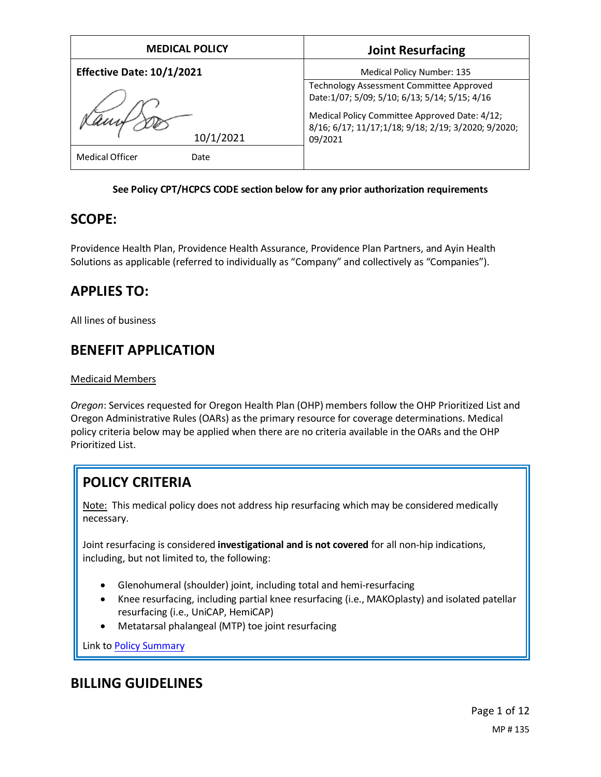| <b>MEDICAL POLICY</b>            | <b>Joint Resurfacing</b>                                                                                        |
|----------------------------------|-----------------------------------------------------------------------------------------------------------------|
| <b>Effective Date: 10/1/2021</b> | Medical Policy Number: 135                                                                                      |
|                                  | Technology Assessment Committee Approved<br>Date: 1/07; 5/09; 5/10; 6/13; 5/14; 5/15; 4/16                      |
| 10/1/2021                        | Medical Policy Committee Approved Date: 4/12;<br>8/16; 6/17; 11/17;1/18; 9/18; 2/19; 3/2020; 9/2020;<br>09/2021 |
| <b>Medical Officer</b><br>Date   |                                                                                                                 |

### **See Policy CPT/HCPCS CODE section below for any prior authorization requirements**

## **SCOPE:**

Providence Health Plan, Providence Health Assurance, Providence Plan Partners, and Ayin Health Solutions as applicable (referred to individually as "Company" and collectively as "Companies").

## **APPLIES TO:**

All lines of business

## **BENEFIT APPLICATION**

### Medicaid Members

*Oregon*: Services requested for Oregon Health Plan (OHP) members follow the OHP Prioritized List and Oregon Administrative Rules (OARs) as the primary resource for coverage determinations. Medical policy criteria below may be applied when there are no criteria available in the OARs and the OHP Prioritized List.

# **POLICY CRITERIA**

Note: This medical policy does not address hip resurfacing which may be considered medically necessary.

Joint resurfacing is considered **investigational and is not covered** for all non-hip indications, including, but not limited to, the following:

- Glenohumeral (shoulder) joint, including total and hemi-resurfacing
- Knee resurfacing, including partial knee resurfacing (i.e., MAKOplasty) and isolated patellar resurfacing (i.e., UniCAP, HemiCAP)
- Metatarsal phalangeal (MTP) toe joint resurfacing

Link t[o Policy Summary](#page-7-0)

## **BILLING GUIDELINES**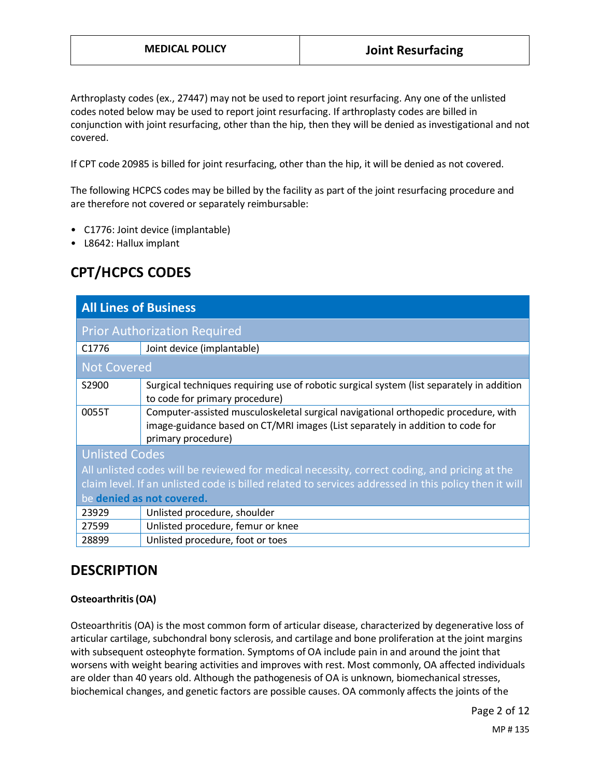Arthroplasty codes (ex., 27447) may not be used to report joint resurfacing. Any one of the unlisted codes noted below may be used to report joint resurfacing. If arthroplasty codes are billed in conjunction with joint resurfacing, other than the hip, then they will be denied as investigational and not covered.

If CPT code 20985 is billed for joint resurfacing, other than the hip, it will be denied as not covered.

The following HCPCS codes may be billed by the facility as part of the joint resurfacing procedure and are therefore not covered or separately reimbursable:

- C1776: Joint device (implantable)
- L8642: Hallux implant

## **CPT/HCPCS CODES**

| <b>All Lines of Business</b>                                                                         |                                                                                                                                                                                            |
|------------------------------------------------------------------------------------------------------|--------------------------------------------------------------------------------------------------------------------------------------------------------------------------------------------|
| <b>Prior Authorization Required</b>                                                                  |                                                                                                                                                                                            |
| C <sub>1776</sub>                                                                                    | Joint device (implantable)                                                                                                                                                                 |
| <b>Not Covered</b>                                                                                   |                                                                                                                                                                                            |
| S2900                                                                                                | Surgical techniques requiring use of robotic surgical system (list separately in addition<br>to code for primary procedure)                                                                |
| 0055T                                                                                                | Computer-assisted musculoskeletal surgical navigational orthopedic procedure, with<br>image-guidance based on CT/MRI images (List separately in addition to code for<br>primary procedure) |
| <b>Unlisted Codes</b>                                                                                |                                                                                                                                                                                            |
| All unlisted codes will be reviewed for medical necessity, correct coding, and pricing at the        |                                                                                                                                                                                            |
| claim level. If an unlisted code is billed related to services addressed in this policy then it will |                                                                                                                                                                                            |
| be denied as not covered.                                                                            |                                                                                                                                                                                            |
| 23929                                                                                                | Unlisted procedure, shoulder                                                                                                                                                               |
| 27599                                                                                                | Unlisted procedure, femur or knee                                                                                                                                                          |
| 28899                                                                                                | Unlisted procedure, foot or toes                                                                                                                                                           |

## **DESCRIPTION**

#### **Osteoarthritis (OA)**

Osteoarthritis (OA) is the most common form of articular disease, characterized by degenerative loss of articular cartilage, subchondral bony sclerosis, and cartilage and bone proliferation at the joint margins with subsequent osteophyte formation. Symptoms of OA include pain in and around the joint that worsens with weight bearing activities and improves with rest. Most commonly, OA affected individuals are older than 40 years old. Although the pathogenesis of OA is unknown, biomechanical stresses, biochemical changes, and genetic factors are possible causes. OA commonly affects the joints of the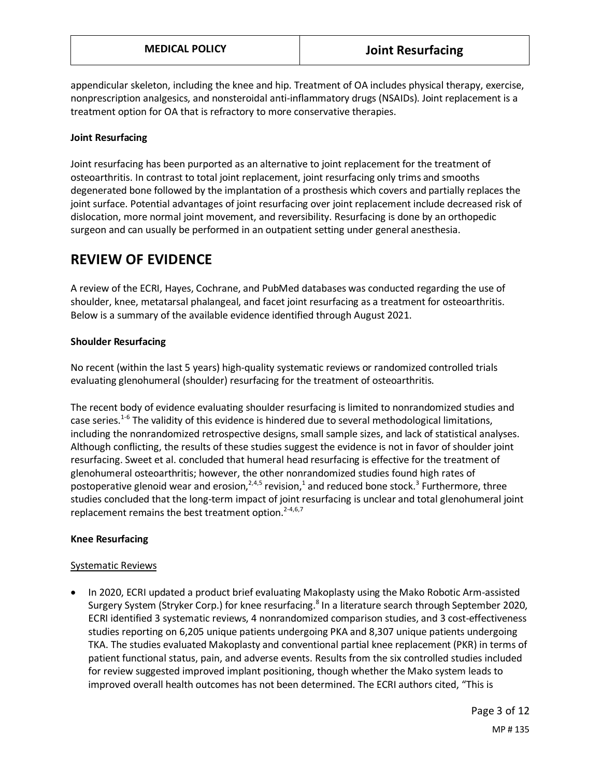appendicular skeleton, including the knee and hip. Treatment of OA includes physical therapy, exercise, nonprescription analgesics, and nonsteroidal anti-inflammatory drugs (NSAIDs). Joint replacement is a treatment option for OA that is refractory to more conservative therapies.

### **Joint Resurfacing**

Joint resurfacing has been purported as an alternative to joint replacement for the treatment of osteoarthritis. In contrast to total joint replacement, joint resurfacing only trims and smooths degenerated bone followed by the implantation of a prosthesis which covers and partially replaces the joint surface. Potential advantages of joint resurfacing over joint replacement include decreased risk of dislocation, more normal joint movement, and reversibility. Resurfacing is done by an orthopedic surgeon and can usually be performed in an outpatient setting under general anesthesia.

## **REVIEW OF EVIDENCE**

A review of the ECRI, Hayes, Cochrane, and PubMed databases was conducted regarding the use of shoulder, knee, metatarsal phalangeal, and facet joint resurfacing as a treatment for osteoarthritis. Below is a summary of the available evidence identified through August 2021.

### **Shoulder Resurfacing**

No recent (within the last 5 years) high-quality systematic reviews or randomized controlled trials evaluating glenohumeral (shoulder) resurfacing for the treatment of osteoarthritis.

The recent body of evidence evaluating shoulder resurfacing is limited to nonrandomized studies and case series.<sup>1-6</sup> The validity of this evidence is hindered due to several methodological limitations, including the nonrandomized retrospective designs, small sample sizes, and lack of statistical analyses. Although conflicting, the results of these studies suggest the evidence is not in favor of shoulder joint resurfacing. Sweet et al. concluded that humeral head resurfacing is effective for the treatment of glenohumeral osteoarthritis; however, the other nonrandomized studies found high rates of postoperative glenoid wear and erosion,<sup>2,4,5</sup> revision,<sup>1</sup> and reduced bone stock.<sup>3</sup> Furthermore, three studies concluded that the long-term impact of joint resurfacing is unclear and total glenohumeral joint replacement remains the best treatment option.<sup>2-4,6,7</sup>

#### **Knee Resurfacing**

#### Systematic Reviews

• In 2020, ECRI updated a product brief evaluating Makoplasty using the Mako Robotic Arm-assisted Surgery System (Stryker Corp.) for knee resurfacing.<sup>8</sup> In a literature search through September 2020, ECRI identified 3 systematic reviews, 4 nonrandomized comparison studies, and 3 cost-effectiveness studies reporting on 6,205 unique patients undergoing PKA and 8,307 unique patients undergoing TKA. The studies evaluated Makoplasty and conventional partial knee replacement (PKR) in terms of patient functional status, pain, and adverse events. Results from the six controlled studies included for review suggested improved implant positioning, though whether the Mako system leads to improved overall health outcomes has not been determined. The ECRI authors cited, "This is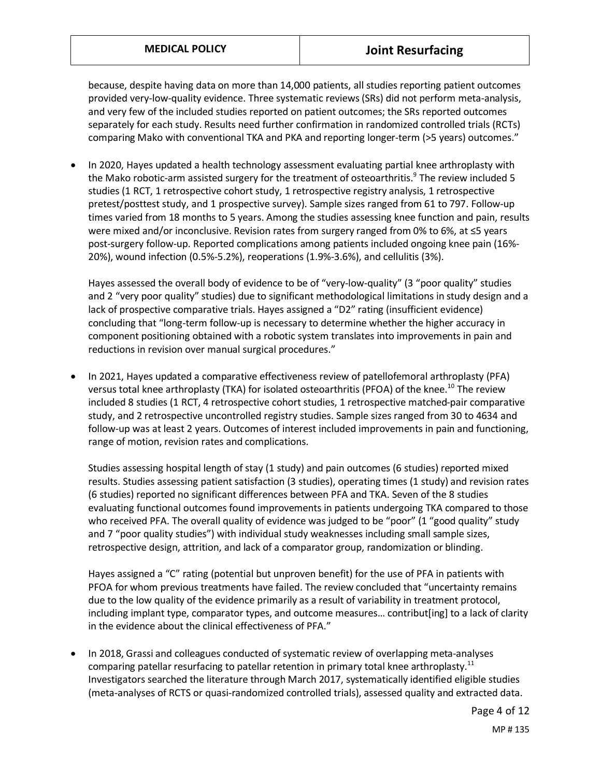because, despite having data on more than 14,000 patients, all studies reporting patient outcomes provided very-low-quality evidence. Three systematic reviews (SRs) did not perform meta-analysis, and very few of the included studies reported on patient outcomes; the SRs reported outcomes separately for each study. Results need further confirmation in randomized controlled trials (RCTs) comparing Mako with conventional TKA and PKA and reporting longer-term (>5 years) outcomes."

• In 2020, Hayes updated a health technology assessment evaluating partial knee arthroplasty with the Mako robotic-arm assisted surgery for the treatment of osteoarthritis.<sup>9</sup> The review included 5 studies (1 RCT, 1 retrospective cohort study, 1 retrospective registry analysis, 1 retrospective pretest/posttest study, and 1 prospective survey). Sample sizes ranged from 61 to 797. Follow-up times varied from 18 months to 5 years. Among the studies assessing knee function and pain, results were mixed and/or inconclusive. Revision rates from surgery ranged from 0% to 6%, at ≤5 years post-surgery follow-up. Reported complications among patients included ongoing knee pain (16%- 20%), wound infection (0.5%-5.2%), reoperations (1.9%-3.6%), and cellulitis (3%).

Hayes assessed the overall body of evidence to be of "very-low-quality" (3 "poor quality" studies and 2 "very poor quality" studies) due to significant methodological limitations in study design and a lack of prospective comparative trials. Hayes assigned a "D2" rating (insufficient evidence) concluding that "long-term follow-up is necessary to determine whether the higher accuracy in component positioning obtained with a robotic system translates into improvements in pain and reductions in revision over manual surgical procedures."

• In 2021, Hayes updated a comparative effectiveness review of patellofemoral arthroplasty (PFA) versus total knee arthroplasty (TKA) for isolated osteoarthritis (PFOA) of the knee.<sup>10</sup> The review included 8 studies (1 RCT, 4 retrospective cohort studies, 1 retrospective matched-pair comparative study, and 2 retrospective uncontrolled registry studies. Sample sizes ranged from 30 to 4634 and follow-up was at least 2 years. Outcomes of interest included improvements in pain and functioning, range of motion, revision rates and complications.

Studies assessing hospital length of stay (1 study) and pain outcomes (6 studies) reported mixed results. Studies assessing patient satisfaction (3 studies), operating times (1 study) and revision rates (6 studies) reported no significant differences between PFA and TKA. Seven of the 8 studies evaluating functional outcomes found improvements in patients undergoing TKA compared to those who received PFA. The overall quality of evidence was judged to be "poor" (1 "good quality" study and 7 "poor quality studies") with individual study weaknesses including small sample sizes, retrospective design, attrition, and lack of a comparator group, randomization or blinding.

Hayes assigned a "C" rating (potential but unproven benefit) for the use of PFA in patients with PFOA for whom previous treatments have failed. The review concluded that "uncertainty remains due to the low quality of the evidence primarily as a result of variability in treatment protocol, including implant type, comparator types, and outcome measures… contribut[ing] to a lack of clarity in the evidence about the clinical effectiveness of PFA."

• In 2018, Grassi and colleagues conducted of systematic review of overlapping meta-analyses comparing patellar resurfacing to patellar retention in primary total knee arthroplasty.<sup>11</sup> Investigators searched the literature through March 2017, systematically identified eligible studies (meta-analyses of RCTS or quasi-randomized controlled trials), assessed quality and extracted data.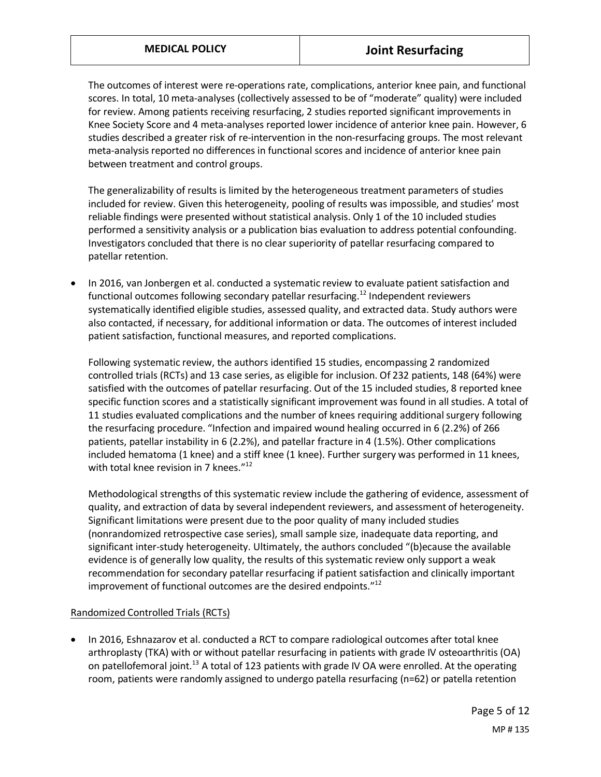The outcomes of interest were re-operations rate, complications, anterior knee pain, and functional scores. In total, 10 meta-analyses (collectively assessed to be of "moderate" quality) were included for review. Among patients receiving resurfacing, 2 studies reported significant improvements in Knee Society Score and 4 meta-analyses reported lower incidence of anterior knee pain. However, 6 studies described a greater risk of re-intervention in the non-resurfacing groups. The most relevant meta-analysis reported no differences in functional scores and incidence of anterior knee pain between treatment and control groups.

The generalizability of results is limited by the heterogeneous treatment parameters of studies included for review. Given this heterogeneity, pooling of results was impossible, and studies' most reliable findings were presented without statistical analysis. Only 1 of the 10 included studies performed a sensitivity analysis or a publication bias evaluation to address potential confounding. Investigators concluded that there is no clear superiority of patellar resurfacing compared to patellar retention.

• In 2016, van Jonbergen et al. conducted a systematic review to evaluate patient satisfaction and functional outcomes following secondary patellar resurfacing.<sup>12</sup> Independent reviewers systematically identified eligible studies, assessed quality, and extracted data. Study authors were also contacted, if necessary, for additional information or data. The outcomes of interest included patient satisfaction, functional measures, and reported complications.

Following systematic review, the authors identified 15 studies, encompassing 2 randomized controlled trials (RCTs) and 13 case series, as eligible for inclusion. Of 232 patients, 148 (64%) were satisfied with the outcomes of patellar resurfacing. Out of the 15 included studies, 8 reported knee specific function scores and a statistically significant improvement was found in all studies. A total of 11 studies evaluated complications and the number of knees requiring additional surgery following the resurfacing procedure. "Infection and impaired wound healing occurred in 6 (2.2%) of 266 patients, patellar instability in 6 (2.2%), and patellar fracture in 4 (1.5%). Other complications included hematoma (1 knee) and a stiff knee (1 knee). Further surgery was performed in 11 knees, with total knee revision in 7 knees. $"^{12}$ 

Methodological strengths of this systematic review include the gathering of evidence, assessment of quality, and extraction of data by several independent reviewers, and assessment of heterogeneity. Significant limitations were present due to the poor quality of many included studies (nonrandomized retrospective case series), small sample size, inadequate data reporting, and significant inter-study heterogeneity. Ultimately, the authors concluded "(b)ecause the available evidence is of generally low quality, the results of this systematic review only support a weak recommendation for secondary patellar resurfacing if patient satisfaction and clinically important improvement of functional outcomes are the desired endpoints. $"12"$ 

#### Randomized Controlled Trials (RCTs)

• In 2016, Eshnazarov et al. conducted a RCT to compare radiological outcomes after total knee arthroplasty (TKA) with or without patellar resurfacing in patients with grade IV osteoarthritis (OA) on patellofemoral joint.<sup>13</sup> A total of 123 patients with grade IV OA were enrolled. At the operating room, patients were randomly assigned to undergo patella resurfacing (n=62) or patella retention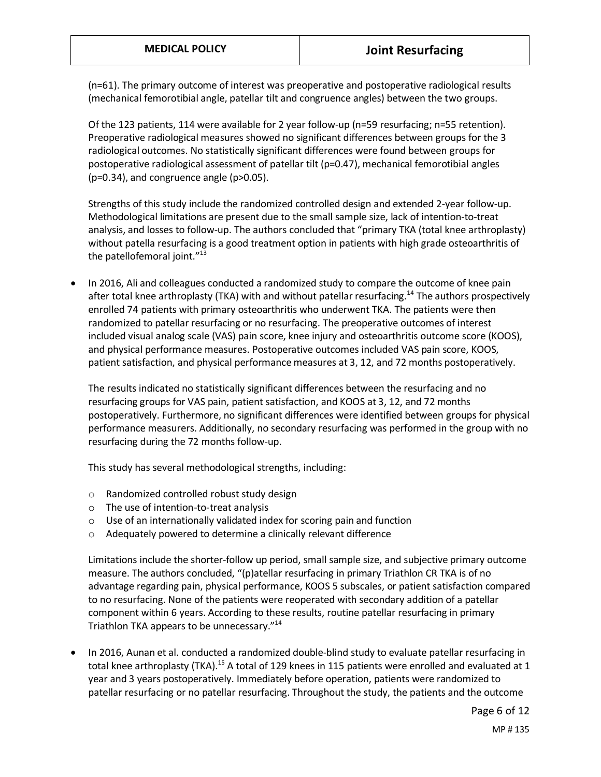(n=61). The primary outcome of interest was preoperative and postoperative radiological results (mechanical femorotibial angle, patellar tilt and congruence angles) between the two groups.

Of the 123 patients, 114 were available for 2 year follow-up (n=59 resurfacing; n=55 retention). Preoperative radiological measures showed no significant differences between groups for the 3 radiological outcomes. No statistically significant differences were found between groups for postoperative radiological assessment of patellar tilt (p=0.47), mechanical femorotibial angles (p=0.34), and congruence angle (p>0.05).

Strengths of this study include the randomized controlled design and extended 2-year follow-up. Methodological limitations are present due to the small sample size, lack of intention-to-treat analysis, and losses to follow-up. The authors concluded that "primary TKA (total knee arthroplasty) without patella resurfacing is a good treatment option in patients with high grade osteoarthritis of the patellofemoral joint."<sup>13</sup>

• In 2016, Ali and colleagues conducted a randomized study to compare the outcome of knee pain after total knee arthroplasty (TKA) with and without patellar resurfacing.<sup>14</sup> The authors prospectively enrolled 74 patients with primary osteoarthritis who underwent TKA. The patients were then randomized to patellar resurfacing or no resurfacing. The preoperative outcomes of interest included visual analog scale (VAS) pain score, knee injury and osteoarthritis outcome score (KOOS), and physical performance measures. Postoperative outcomes included VAS pain score, KOOS, patient satisfaction, and physical performance measures at 3, 12, and 72 months postoperatively.

The results indicated no statistically significant differences between the resurfacing and no resurfacing groups for VAS pain, patient satisfaction, and KOOS at 3, 12, and 72 months postoperatively. Furthermore, no significant differences were identified between groups for physical performance measurers. Additionally, no secondary resurfacing was performed in the group with no resurfacing during the 72 months follow-up.

This study has several methodological strengths, including:

- o Randomized controlled robust study design
- o The use of intention-to-treat analysis
- o Use of an internationally validated index for scoring pain and function
- o Adequately powered to determine a clinically relevant difference

Limitations include the shorter-follow up period, small sample size, and subjective primary outcome measure. The authors concluded, "(p)atellar resurfacing in primary Triathlon CR TKA is of no advantage regarding pain, physical performance, KOOS 5 subscales, or patient satisfaction compared to no resurfacing. None of the patients were reoperated with secondary addition of a patellar component within 6 years. According to these results, routine patellar resurfacing in primary Triathlon TKA appears to be unnecessary."<sup>14</sup>

• In 2016, Aunan et al. conducted a randomized double-blind study to evaluate patellar resurfacing in total knee arthroplasty (TKA).<sup>15</sup> A total of 129 knees in 115 patients were enrolled and evaluated at 1 year and 3 years postoperatively. Immediately before operation, patients were randomized to patellar resurfacing or no patellar resurfacing. Throughout the study, the patients and the outcome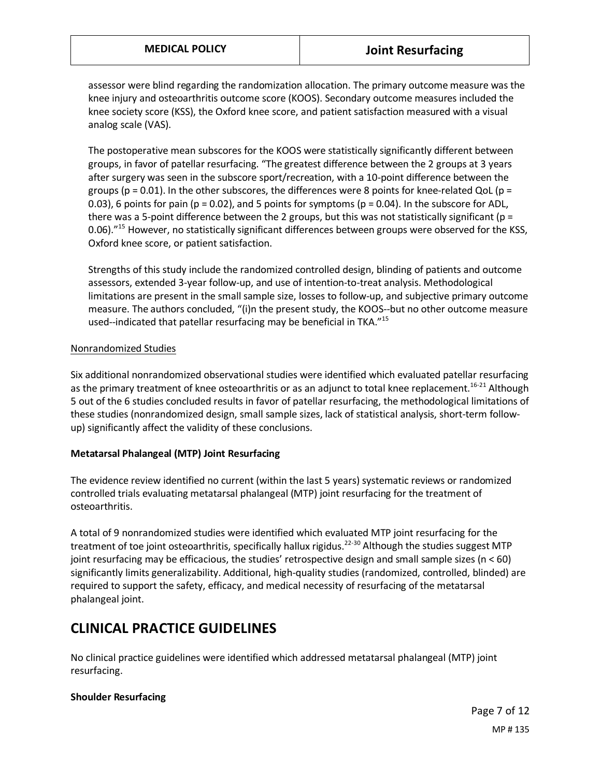assessor were blind regarding the randomization allocation. The primary outcome measure was the knee injury and osteoarthritis outcome score (KOOS). Secondary outcome measures included the knee society score (KSS), the Oxford knee score, and patient satisfaction measured with a visual analog scale (VAS).

The postoperative mean subscores for the KOOS were statistically significantly different between groups, in favor of patellar resurfacing. "The greatest difference between the 2 groups at 3 years after surgery was seen in the subscore sport/recreation, with a 10-point difference between the groups (p = 0.01). In the other subscores, the differences were 8 points for knee-related QoL (p = 0.03), 6 points for pain ( $p = 0.02$ ), and 5 points for symptoms ( $p = 0.04$ ). In the subscore for ADL, there was a 5-point difference between the 2 groups, but this was not statistically significant ( $p =$ 0.06)."<sup>15</sup> However, no statistically significant differences between groups were observed for the KSS, Oxford knee score, or patient satisfaction.

Strengths of this study include the randomized controlled design, blinding of patients and outcome assessors, extended 3-year follow-up, and use of intention-to-treat analysis. Methodological limitations are present in the small sample size, losses to follow-up, and subjective primary outcome measure. The authors concluded, "(i)n the present study, the KOOS--but no other outcome measure used--indicated that patellar resurfacing may be beneficial in TKA."<sup>15</sup>

#### Nonrandomized Studies

Six additional nonrandomized observational studies were identified which evaluated patellar resurfacing as the primary treatment of knee osteoarthritis or as an adjunct to total knee replacement.<sup>16-21</sup> Although 5 out of the 6 studies concluded results in favor of patellar resurfacing, the methodological limitations of these studies (nonrandomized design, small sample sizes, lack of statistical analysis, short-term followup) significantly affect the validity of these conclusions.

#### **Metatarsal Phalangeal (MTP) Joint Resurfacing**

The evidence review identified no current (within the last 5 years) systematic reviews or randomized controlled trials evaluating metatarsal phalangeal (MTP) joint resurfacing for the treatment of osteoarthritis.

A total of 9 nonrandomized studies were identified which evaluated MTP joint resurfacing for the treatment of toe joint osteoarthritis, specifically hallux rigidus.<sup>22-30</sup> Although the studies suggest MTP joint resurfacing may be efficacious, the studies' retrospective design and small sample sizes (n < 60) significantly limits generalizability. Additional, high-quality studies (randomized, controlled, blinded) are required to support the safety, efficacy, and medical necessity of resurfacing of the metatarsal phalangeal joint.

## **CLINICAL PRACTICE GUIDELINES**

No clinical practice guidelines were identified which addressed metatarsal phalangeal (MTP) joint resurfacing.

#### **Shoulder Resurfacing**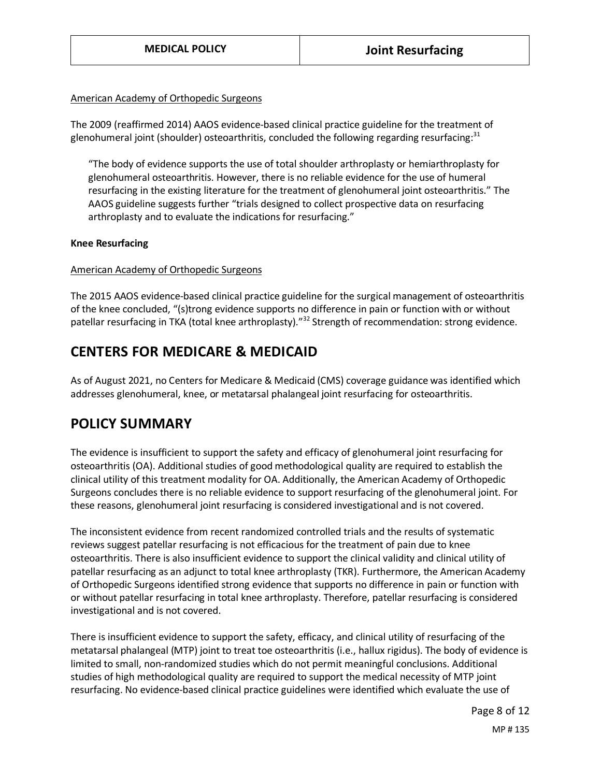#### American Academy of Orthopedic Surgeons

The 2009 (reaffirmed 2014) AAOS evidence-based clinical practice guideline for the treatment of glenohumeral joint (shoulder) osteoarthritis, concluded the following regarding resurfacing: $31$ 

"The body of evidence supports the use of total shoulder arthroplasty or hemiarthroplasty for glenohumeral osteoarthritis. However, there is no reliable evidence for the use of humeral resurfacing in the existing literature for the treatment of glenohumeral joint osteoarthritis." The AAOS guideline suggests further "trials designed to collect prospective data on resurfacing arthroplasty and to evaluate the indications for resurfacing."

#### **Knee Resurfacing**

#### American Academy of Orthopedic Surgeons

The 2015 AAOS evidence-based clinical practice guideline for the surgical management of osteoarthritis of the knee concluded, "(s)trong evidence supports no difference in pain or function with or without patellar resurfacing in TKA (total knee arthroplasty)."<sup>32</sup> Strength of recommendation: strong evidence.

## **CENTERS FOR MEDICARE & MEDICAID**

As of August 2021, no Centers for Medicare & Medicaid (CMS) coverage guidance was identified which addresses glenohumeral, knee, or metatarsal phalangeal joint resurfacing for osteoarthritis.

## <span id="page-7-0"></span>**POLICY SUMMARY**

The evidence is insufficient to support the safety and efficacy of glenohumeral joint resurfacing for osteoarthritis (OA). Additional studies of good methodological quality are required to establish the clinical utility of this treatment modality for OA. Additionally, the American Academy of Orthopedic Surgeons concludes there is no reliable evidence to support resurfacing of the glenohumeral joint. For these reasons, glenohumeral joint resurfacing is considered investigational and is not covered.

The inconsistent evidence from recent randomized controlled trials and the results of systematic reviews suggest patellar resurfacing is not efficacious for the treatment of pain due to knee osteoarthritis. There is also insufficient evidence to support the clinical validity and clinical utility of patellar resurfacing as an adjunct to total knee arthroplasty (TKR). Furthermore, the American Academy of Orthopedic Surgeons identified strong evidence that supports no difference in pain or function with or without patellar resurfacing in total knee arthroplasty. Therefore, patellar resurfacing is considered investigational and is not covered.

There is insufficient evidence to support the safety, efficacy, and clinical utility of resurfacing of the metatarsal phalangeal (MTP) joint to treat toe osteoarthritis (i.e., hallux rigidus). The body of evidence is limited to small, non-randomized studies which do not permit meaningful conclusions. Additional studies of high methodological quality are required to support the medical necessity of MTP joint resurfacing. No evidence-based clinical practice guidelines were identified which evaluate the use of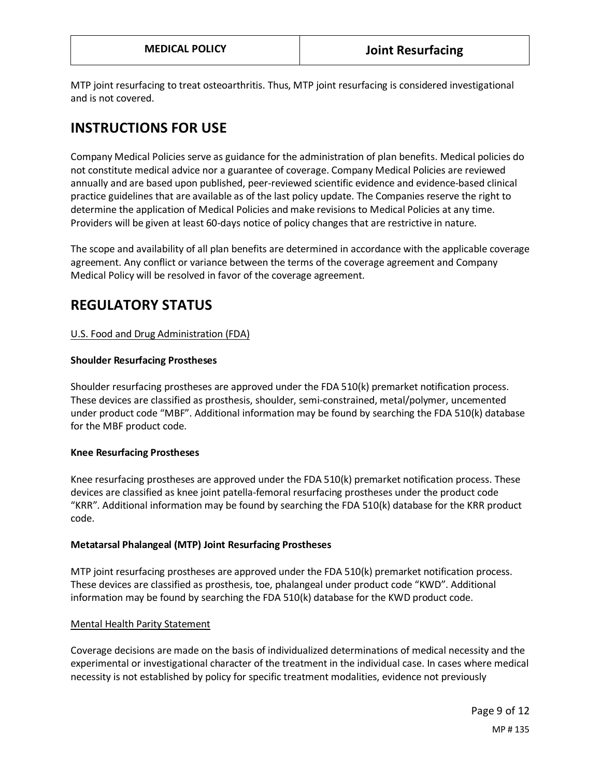MTP joint resurfacing to treat osteoarthritis. Thus, MTP joint resurfacing is considered investigational and is not covered.

## **INSTRUCTIONS FOR USE**

Company Medical Policies serve as guidance for the administration of plan benefits. Medical policies do not constitute medical advice nor a guarantee of coverage. Company Medical Policies are reviewed annually and are based upon published, peer-reviewed scientific evidence and evidence-based clinical practice guidelines that are available as of the last policy update. The Companies reserve the right to determine the application of Medical Policies and make revisions to Medical Policies at any time. Providers will be given at least 60-days notice of policy changes that are restrictive in nature.

The scope and availability of all plan benefits are determined in accordance with the applicable coverage agreement. Any conflict or variance between the terms of the coverage agreement and Company Medical Policy will be resolved in favor of the coverage agreement.

## **REGULATORY STATUS**

### U.S. Food and Drug Administration (FDA)

#### **Shoulder Resurfacing Prostheses**

Shoulder resurfacing prostheses are approved under the FDA 510(k) premarket notification process. These devices are classified as prosthesis, shoulder, semi-constrained, metal/polymer, uncemented under product code "MBF". Additional information may be found by searching the FDA 510(k) database for the MBF product code.

#### **Knee Resurfacing Prostheses**

Knee resurfacing prostheses are approved under the FDA 510(k) premarket notification process. These devices are classified as knee joint patella-femoral resurfacing prostheses under the product code "KRR". Additional information may be found by searching the FDA 510(k) database for the KRR product code.

#### **Metatarsal Phalangeal (MTP) Joint Resurfacing Prostheses**

MTP joint resurfacing prostheses are approved under the FDA 510(k) premarket notification process. These devices are classified as prosthesis, toe, phalangeal under product code "KWD". Additional information may be found by searching the FDA 510(k) database for the KWD product code.

#### Mental Health Parity Statement

Coverage decisions are made on the basis of individualized determinations of medical necessity and the experimental or investigational character of the treatment in the individual case. In cases where medical necessity is not established by policy for specific treatment modalities, evidence not previously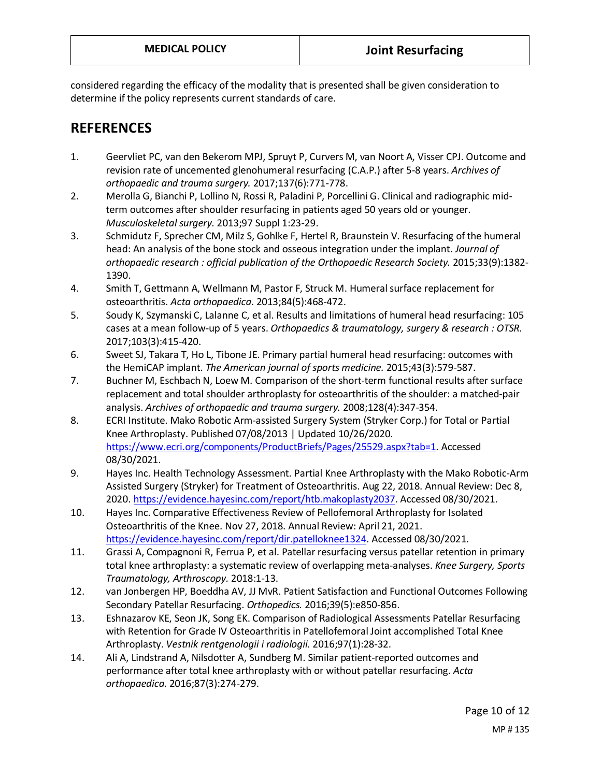considered regarding the efficacy of the modality that is presented shall be given consideration to determine if the policy represents current standards of care.

## **REFERENCES**

- 1. Geervliet PC, van den Bekerom MPJ, Spruyt P, Curvers M, van Noort A, Visser CPJ. Outcome and revision rate of uncemented glenohumeral resurfacing (C.A.P.) after 5-8 years. *Archives of orthopaedic and trauma surgery.* 2017;137(6):771-778.
- 2. Merolla G, Bianchi P, Lollino N, Rossi R, Paladini P, Porcellini G. Clinical and radiographic midterm outcomes after shoulder resurfacing in patients aged 50 years old or younger. *Musculoskeletal surgery.* 2013;97 Suppl 1:23-29.
- 3. Schmidutz F, Sprecher CM, Milz S, Gohlke F, Hertel R, Braunstein V. Resurfacing of the humeral head: An analysis of the bone stock and osseous integration under the implant. *Journal of orthopaedic research : official publication of the Orthopaedic Research Society.* 2015;33(9):1382- 1390.
- 4. Smith T, Gettmann A, Wellmann M, Pastor F, Struck M. Humeral surface replacement for osteoarthritis. *Acta orthopaedica.* 2013;84(5):468-472.
- 5. Soudy K, Szymanski C, Lalanne C, et al. Results and limitations of humeral head resurfacing: 105 cases at a mean follow-up of 5 years. *Orthopaedics & traumatology, surgery & research : OTSR.* 2017;103(3):415-420.
- 6. Sweet SJ, Takara T, Ho L, Tibone JE. Primary partial humeral head resurfacing: outcomes with the HemiCAP implant. *The American journal of sports medicine.* 2015;43(3):579-587.
- 7. Buchner M, Eschbach N, Loew M. Comparison of the short-term functional results after surface replacement and total shoulder arthroplasty for osteoarthritis of the shoulder: a matched-pair analysis. *Archives of orthopaedic and trauma surgery.* 2008;128(4):347-354.
- 8. ECRI Institute. Mako Robotic Arm-assisted Surgery System (Stryker Corp.) for Total or Partial Knee Arthroplasty. Published 07/08/2013 | Updated 10/26/2020. [https://www.ecri.org/components/ProductBriefs/Pages/25529.aspx?tab=1.](https://www.ecri.org/components/ProductBriefs/Pages/25529.aspx?tab=1) Accessed 08/30/2021.
- 9. Hayes Inc. Health Technology Assessment. Partial Knee Arthroplasty with the Mako Robotic-Arm Assisted Surgery (Stryker) for Treatment of Osteoarthritis. Aug 22, 2018. Annual Review: Dec 8, 2020[. https://evidence.hayesinc.com/report/htb.makoplasty2037.](https://evidence.hayesinc.com/report/htb.makoplasty2037) Accessed 08/30/2021.
- 10. Hayes Inc. Comparative Effectiveness Review of Pellofemoral Arthroplasty for Isolated Osteoarthritis of the Knee. Nov 27, 2018. Annual Review: April 21, 2021. [https://evidence.hayesinc.com/report/dir.patelloknee1324.](https://evidence.hayesinc.com/report/dir.patelloknee1324) Accessed 08/30/2021.
- 11. Grassi A, Compagnoni R, Ferrua P, et al. Patellar resurfacing versus patellar retention in primary total knee arthroplasty: a systematic review of overlapping meta-analyses. *Knee Surgery, Sports Traumatology, Arthroscopy.* 2018:1-13.
- 12. van Jonbergen HP, Boeddha AV, JJ MvR. Patient Satisfaction and Functional Outcomes Following Secondary Patellar Resurfacing. *Orthopedics.* 2016;39(5):e850-856.
- 13. Eshnazarov KE, Seon JK, Song EK. Comparison of Radiological Assessments Patellar Resurfacing with Retention for Grade IV Osteoarthritis in Patellofemoral Joint accomplished Total Knee Arthroplasty. *Vestnik rentgenologii i radiologii.* 2016;97(1):28-32.
- 14. Ali A, Lindstrand A, Nilsdotter A, Sundberg M. Similar patient-reported outcomes and performance after total knee arthroplasty with or without patellar resurfacing. *Acta orthopaedica.* 2016;87(3):274-279.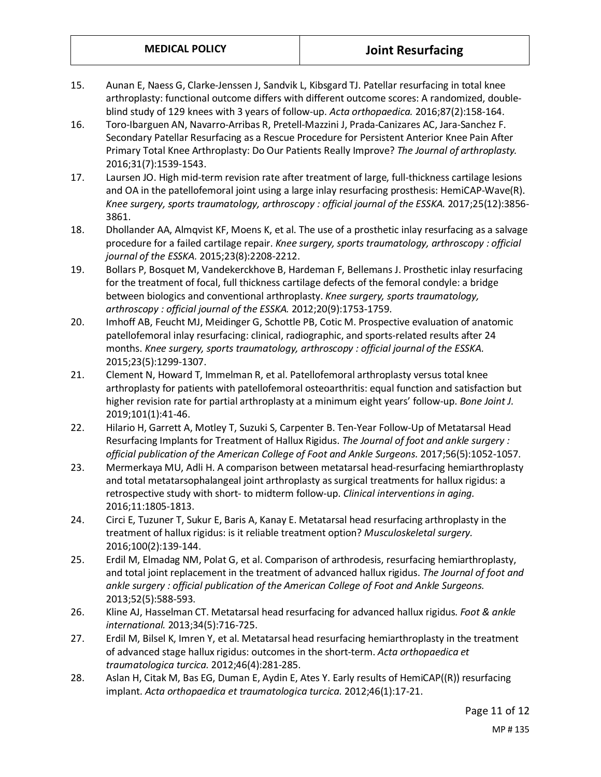- 15. Aunan E, Naess G, Clarke-Jenssen J, Sandvik L, Kibsgard TJ. Patellar resurfacing in total knee arthroplasty: functional outcome differs with different outcome scores: A randomized, doubleblind study of 129 knees with 3 years of follow-up. *Acta orthopaedica.* 2016;87(2):158-164.
- 16. Toro-Ibarguen AN, Navarro-Arribas R, Pretell-Mazzini J, Prada-Canizares AC, Jara-Sanchez F. Secondary Patellar Resurfacing as a Rescue Procedure for Persistent Anterior Knee Pain After Primary Total Knee Arthroplasty: Do Our Patients Really Improve? *The Journal of arthroplasty.* 2016;31(7):1539-1543.
- 17. Laursen JO. High mid-term revision rate after treatment of large, full-thickness cartilage lesions and OA in the patellofemoral joint using a large inlay resurfacing prosthesis: HemiCAP-Wave(R). *Knee surgery, sports traumatology, arthroscopy : official journal of the ESSKA.* 2017;25(12):3856- 3861.
- 18. Dhollander AA, Almqvist KF, Moens K, et al. The use of a prosthetic inlay resurfacing as a salvage procedure for a failed cartilage repair. *Knee surgery, sports traumatology, arthroscopy : official journal of the ESSKA.* 2015;23(8):2208-2212.
- 19. Bollars P, Bosquet M, Vandekerckhove B, Hardeman F, Bellemans J. Prosthetic inlay resurfacing for the treatment of focal, full thickness cartilage defects of the femoral condyle: a bridge between biologics and conventional arthroplasty. *Knee surgery, sports traumatology, arthroscopy : official journal of the ESSKA.* 2012;20(9):1753-1759.
- 20. Imhoff AB, Feucht MJ, Meidinger G, Schottle PB, Cotic M. Prospective evaluation of anatomic patellofemoral inlay resurfacing: clinical, radiographic, and sports-related results after 24 months. *Knee surgery, sports traumatology, arthroscopy : official journal of the ESSKA.* 2015;23(5):1299-1307.
- 21. Clement N, Howard T, Immelman R, et al. Patellofemoral arthroplasty versus total knee arthroplasty for patients with patellofemoral osteoarthritis: equal function and satisfaction but higher revision rate for partial arthroplasty at a minimum eight years' follow-up. *Bone Joint J.* 2019;101(1):41-46.
- 22. Hilario H, Garrett A, Motley T, Suzuki S, Carpenter B. Ten-Year Follow-Up of Metatarsal Head Resurfacing Implants for Treatment of Hallux Rigidus. *The Journal of foot and ankle surgery : official publication of the American College of Foot and Ankle Surgeons.* 2017;56(5):1052-1057.
- 23. Mermerkaya MU, Adli H. A comparison between metatarsal head-resurfacing hemiarthroplasty and total metatarsophalangeal joint arthroplasty as surgical treatments for hallux rigidus: a retrospective study with short- to midterm follow-up. *Clinical interventions in aging.* 2016;11:1805-1813.
- 24. Circi E, Tuzuner T, Sukur E, Baris A, Kanay E. Metatarsal head resurfacing arthroplasty in the treatment of hallux rigidus: is it reliable treatment option? *Musculoskeletal surgery.* 2016;100(2):139-144.
- 25. Erdil M, Elmadag NM, Polat G, et al. Comparison of arthrodesis, resurfacing hemiarthroplasty, and total joint replacement in the treatment of advanced hallux rigidus. *The Journal of foot and ankle surgery : official publication of the American College of Foot and Ankle Surgeons.* 2013;52(5):588-593.
- 26. Kline AJ, Hasselman CT. Metatarsal head resurfacing for advanced hallux rigidus. *Foot & ankle international.* 2013;34(5):716-725.
- 27. Erdil M, Bilsel K, Imren Y, et al. Metatarsal head resurfacing hemiarthroplasty in the treatment of advanced stage hallux rigidus: outcomes in the short-term. *Acta orthopaedica et traumatologica turcica.* 2012;46(4):281-285.
- 28. Aslan H, Citak M, Bas EG, Duman E, Aydin E, Ates Y. Early results of HemiCAP((R)) resurfacing implant. *Acta orthopaedica et traumatologica turcica.* 2012;46(1):17-21.